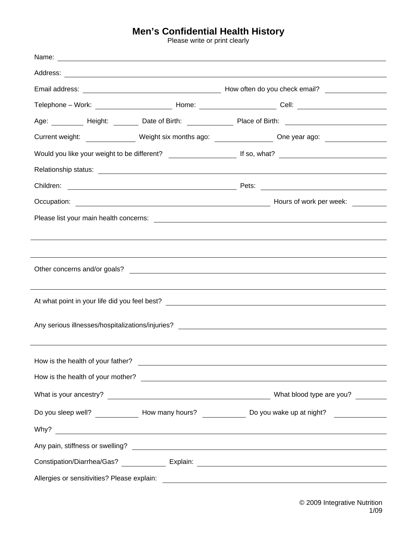## **Men's Confidential Health History**<br>Please write or print clearly

|                                                                                                      |                                   | Telephone – Work: ________________________________Home: __________________________Cell: ______________________ |  |
|------------------------------------------------------------------------------------------------------|-----------------------------------|----------------------------------------------------------------------------------------------------------------|--|
|                                                                                                      |                                   | Age: _________ Height: _______ Date of Birth: _____________ Place of Birth: ________________________           |  |
|                                                                                                      |                                   |                                                                                                                |  |
| Current weight: ________________ Weight six months ago: _________________ One year ago: ____________ |                                   |                                                                                                                |  |
|                                                                                                      |                                   |                                                                                                                |  |
|                                                                                                      |                                   |                                                                                                                |  |
|                                                                                                      |                                   |                                                                                                                |  |
|                                                                                                      |                                   |                                                                                                                |  |
|                                                                                                      |                                   |                                                                                                                |  |
|                                                                                                      |                                   |                                                                                                                |  |
|                                                                                                      |                                   |                                                                                                                |  |
|                                                                                                      |                                   |                                                                                                                |  |
|                                                                                                      |                                   |                                                                                                                |  |
|                                                                                                      |                                   |                                                                                                                |  |
|                                                                                                      |                                   |                                                                                                                |  |
|                                                                                                      |                                   |                                                                                                                |  |
|                                                                                                      |                                   |                                                                                                                |  |
|                                                                                                      |                                   |                                                                                                                |  |
|                                                                                                      | How is the health of your father? | <u> 1989 - Johann Stein, fransk politik (d. 1989)</u>                                                          |  |
|                                                                                                      |                                   |                                                                                                                |  |
|                                                                                                      |                                   |                                                                                                                |  |
|                                                                                                      |                                   |                                                                                                                |  |
|                                                                                                      |                                   | Do you sleep well? _______________ How many hours? _______________ Do you wake up at night? ______________     |  |
|                                                                                                      |                                   |                                                                                                                |  |
|                                                                                                      |                                   |                                                                                                                |  |